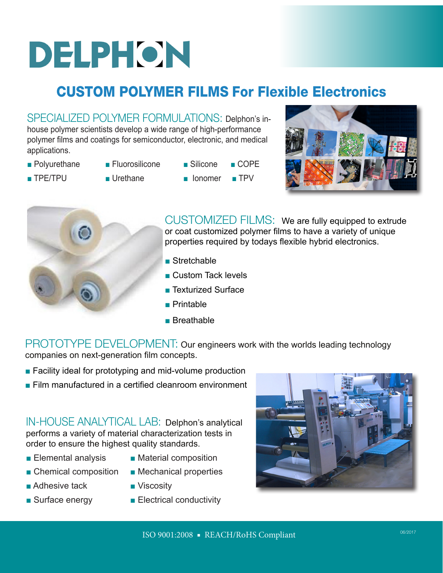# DELPHON

## CUSTOM POLYMER FILMS For Flexible Electronics

SPECIALIZED POLYMER FORMULATIONS: Delphon's inhouse polymer scientists develop a wide range of high-performance polymer films and coatings for semiconductor, electronic, and medical applications.

- Polyurethane Fluorosilicone Silicone COPE
	-
- 
- TPE/TPU Urethane Ionomer TPV
	-
- 
- 





CUSTOMIZED FILMS: We are fully equipped to extrude or coat customized polymer films to have a variety of unique properties required by todays flexible hybrid electronics.

- Stretchable
- Custom Tack levels
- Texturized Surface
- Printable
- Breathable

PROTOTYPE DEVELOPMENT: Our engineers work with the worlds leading technology companies on next-generation film concepts.

- Facility ideal for prototyping and mid-volume production
- Film manufactured in a certified cleanroom environment

IN-HOUSE ANALYTICAL LAB:Delphon's analytical performs a variety of material characterization tests in order to ensure the highest quality standards.

- Elemental analysis Material composition
- Chemical composition Mechanical properties
- -
- Adhesive tack Viscosity
- Surface energy Electrical conductivity